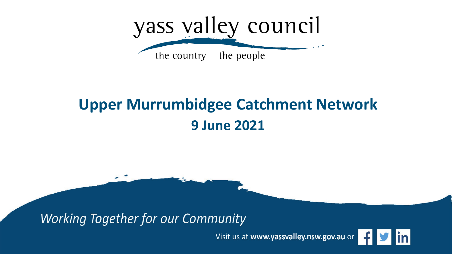

### **Upper Murrumbidgee Catchment Network 9 June 2021**

**Working Together for our Community** 

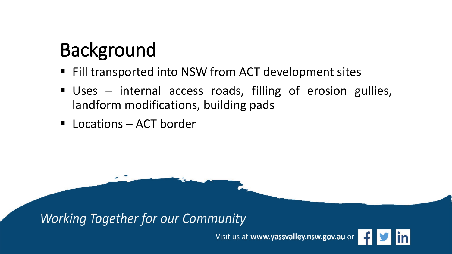# Background

- Fill transported into NSW from ACT development sites
- Uses internal access roads, filling of erosion gullies, landform modifications, building pads
- Locations ACT border

**Working Together for our Community** 

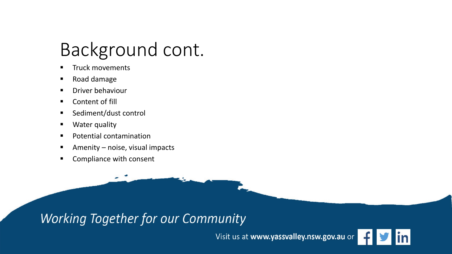### Background cont.

- Truck movements
- Road damage
- Driver behaviour
- Content of fill
- Sediment/dust control
- **Water quality**
- **Potential contamination**
- Amenity noise, visual impacts
- **EXECOMPLE COMPLEM** CONSENT

### **Working Together for our Community**

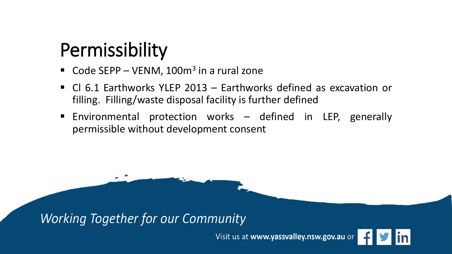### Permissibility

- Code SEPP VENM,  $100m^3$  in a rural zone
- Cl 6.1 Earthworks YLEP 2013 Earthworks defined as excavation or filling. Filling/waste disposal facility is further defined
- Environmental protection works defined in LEP, generally permissible without development consent

**Working Together for our Community** 

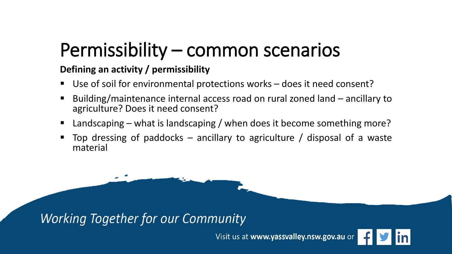### Permissibility – common scenarios

#### **Defining an activity / permissibility**

- Use of soil for environmental protections works does it need consent?
- Building/maintenance internal access road on rural zoned land ancillary to agriculture? Does it need consent?
- Landscaping what is landscaping / when does it become something more?
- Top dressing of paddocks ancillary to agriculture / disposal of a waste material

**Working Together for our Community** 

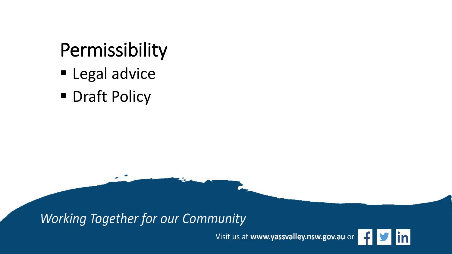# Permissibility

- **Legal advice**
- **Draft Policy**

**Working Together for our Community** 

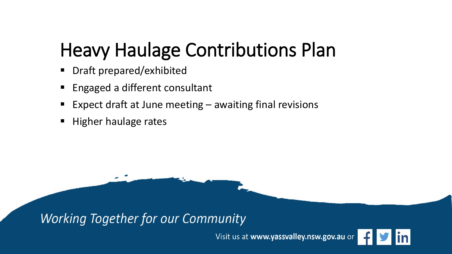# Heavy Haulage Contributions Plan

- Draft prepared/exhibited
- Engaged a different consultant
- Expect draft at June meeting awaiting final revisions
- Higher haulage rates

**Working Together for our Community** 

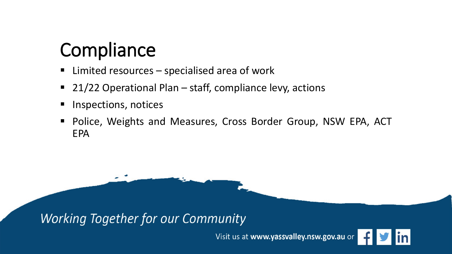### **Compliance**

- Limited resources specialised area of work
- 21/22 Operational Plan staff, compliance levy, actions
- Inspections, notices
- Police, Weights and Measures, Cross Border Group, NSW EPA, ACT EPA

**Working Together for our Community**